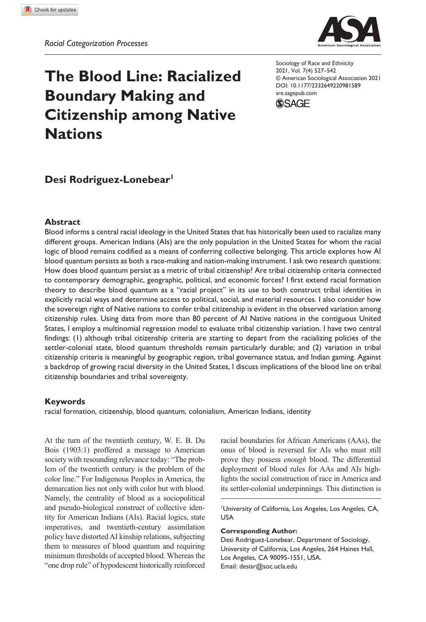**981[589](http://crossmark.crossref.org/dialog/?doi=10.1177%2F2332649220981589&domain=pdf&date_stamp=2021-01-19)**SREXXX10.1177/2332649220981589Sociology of Race and Ethnicity**Rodriguez-Lonebear**



# **The Blood Line: Racialized Boundary Making and Citizenship among Native Nations**

https://doi.org/10.1177/2332649220981589 DOI: 10.1177/2332649220981589 Sociology of Race and Ethnicity 2021, Vol. 7(4) 527–542 © American Sociological Association 2021 [sre.sagepub.com](https://sre.sagepub.com)



# **Desi Rodriguez-Lonebear1**

## **Abstract**

Blood informs a central racial ideology in the United States that has historically been used to racialize many different groups. American Indians (AIs) are the only population in the United States for whom the racial logic of blood remains codified as a means of conferring collective belonging. This article explores how AI blood quantum persists as both a race-making and nation-making instrument. I ask two research questions: How does blood quantum persist as a metric of tribal citizenship? Are tribal citizenship criteria connected to contemporary demographic, geographic, political, and economic forces? I first extend racial formation theory to describe blood quantum as a "racial project" in its use to both construct tribal identities in explicitly racial ways and determine access to political, social, and material resources. I also consider how the sovereign right of Native nations to confer tribal citizenship is evident in the observed variation among citizenship rules. Using data from more than 80 percent of AI Native nations in the contiguous United States, I employ a multinomial regression model to evaluate tribal citizenship variation. I have two central findings: (1) although tribal citizenship criteria are starting to depart from the racializing policies of the settler-colonial state, blood quantum thresholds remain particularly durable; and (2) variation in tribal citizenship criteria is meaningful by geographic region, tribal governance status, and Indian gaming. Against a backdrop of growing racial diversity in the United States, I discuss implications of the blood line on tribal citizenship boundaries and tribal sovereignty.

### **Keywords**

racial formation, citizenship, blood quantum, colonialism, American Indians, identity

At the turn of the twentieth century, W. E. B. Du Bois (1903:1) proffered a message to American society with resounding relevance today: "The problem of the twentieth century is the problem of the color line." For Indigenous Peoples in America, the demarcation lies not only with color but with blood. Namely, the centrality of blood as a sociopolitical and pseudo-biological construct of collective identity for American Indians (AIs). Racial logics, state imperatives, and twentieth-century assimilation policy have distorted AI kinship relations, subjecting them to measures of blood quantum and requiring minimum thresholds of accepted blood. Whereas the "one drop rule" of hypodescent historically reinforced

racial boundaries for African Americans (AAs), the onus of blood is reversed for AIs who must still prove they possess *enough* blood. The differential deployment of blood rules for AAs and AIs highlights the social construction of race in America and its settler-colonial underpinnings. This distinction is

1 University of California, Los Angeles, Los Angeles, CA, USA

#### **Corresponding Author:**

Desi Rodriguez-Lonebear, Department of Sociology, University of California, Los Angeles, 264 Haines Hall, Los Angeles, CA 90095-1551, USA. Email: desisr@soc.ucla.edu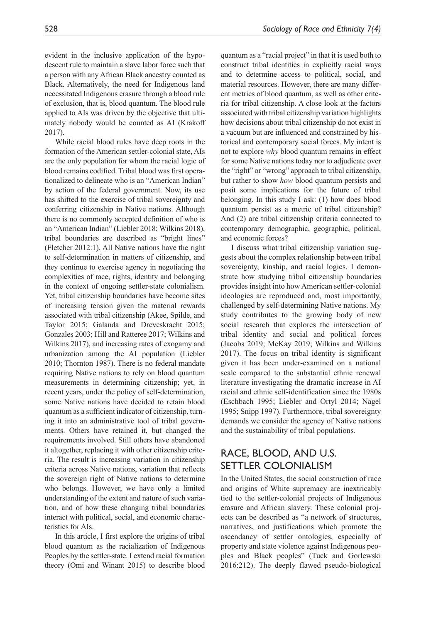evident in the inclusive application of the hypodescent rule to maintain a slave labor force such that a person with any African Black ancestry counted as Black. Alternatively, the need for Indigenous land necessitated Indigenous erasure through a blood rule of exclusion, that is, blood quantum. The blood rule applied to AIs was driven by the objective that ultimately nobody would be counted as AI (Krakoff 2017).

While racial blood rules have deep roots in the formation of the American settler-colonial state, AIs are the only population for whom the racial logic of blood remains codified. Tribal blood was first operationalized to delineate who is an "American Indian" by action of the federal government. Now, its use has shifted to the exercise of tribal sovereignty and conferring citizenship in Native nations. Although there is no commonly accepted definition of who is an "American Indian" (Liebler 2018; Wilkins 2018), tribal boundaries are described as "bright lines" (Fletcher 2012:1). All Native nations have the right to self-determination in matters of citizenship, and they continue to exercise agency in negotiating the complexities of race, rights, identity and belonging in the context of ongoing settler-state colonialism. Yet, tribal citizenship boundaries have become sites of increasing tension given the material rewards associated with tribal citizenship (Akee, Spilde, and Taylor 2015; Galanda and Dreveskracht 2015; Gonzales 2003; Hill and Ratteree 2017; Wilkins and Wilkins 2017), and increasing rates of exogamy and urbanization among the AI population (Liebler 2010; Thornton 1987). There is no federal mandate requiring Native nations to rely on blood quantum measurements in determining citizenship; yet, in recent years, under the policy of self-determination, some Native nations have decided to retain blood quantum as a sufficient indicator of citizenship, turning it into an administrative tool of tribal governments. Others have retained it, but changed the requirements involved. Still others have abandoned it altogether, replacing it with other citizenship criteria. The result is increasing variation in citizenship criteria across Native nations, variation that reflects the sovereign right of Native nations to determine who belongs. However, we have only a limited understanding of the extent and nature of such variation, and of how these changing tribal boundaries interact with political, social, and economic characteristics for AIs.

In this article, I first explore the origins of tribal blood quantum as the racialization of Indigenous Peoples by the settler-state. I extend racial formation theory (Omi and Winant 2015) to describe blood quantum as a "racial project" in that it is used both to construct tribal identities in explicitly racial ways and to determine access to political, social, and material resources. However, there are many different metrics of blood quantum, as well as other criteria for tribal citizenship. A close look at the factors associated with tribal citizenship variation highlights how decisions about tribal citizenship do not exist in a vacuum but are influenced and constrained by historical and contemporary social forces. My intent is not to explore *why* blood quantum remains in effect for some Native nations today nor to adjudicate over the "right" or "wrong" approach to tribal citizenship, but rather to show *how* blood quantum persists and posit some implications for the future of tribal belonging. In this study I ask: (1) how does blood quantum persist as a metric of tribal citizenship? And (2) are tribal citizenship criteria connected to contemporary demographic, geographic, political, and economic forces?

I discuss what tribal citizenship variation suggests about the complex relationship between tribal sovereignty, kinship, and racial logics. I demonstrate how studying tribal citizenship boundaries provides insight into how American settler-colonial ideologies are reproduced and, most importantly, challenged by self-determining Native nations. My study contributes to the growing body of new social research that explores the intersection of tribal identity and social and political forces (Jacobs 2019; McKay 2019; Wilkins and Wilkins 2017). The focus on tribal identity is significant given it has been under-examined on a national scale compared to the substantial ethnic renewal literature investigating the dramatic increase in AI racial and ethnic self-identification since the 1980s (Eschbach 1995; Liebler and Ortyl 2014; Nagel 1995; Snipp 1997). Furthermore, tribal sovereignty demands we consider the agency of Native nations and the sustainability of tribal populations.

# Race, Blood, and U.S. Settler Colonialism

In the United States, the social construction of race and origins of White supremacy are inextricably tied to the settler-colonial projects of Indigenous erasure and African slavery. These colonial projects can be described as "a network of structures, narratives, and justifications which promote the ascendancy of settler ontologies, especially of property and state violence against Indigenous peoples and Black peoples" (Tuck and Gorlewski 2016:212). The deeply flawed pseudo-biological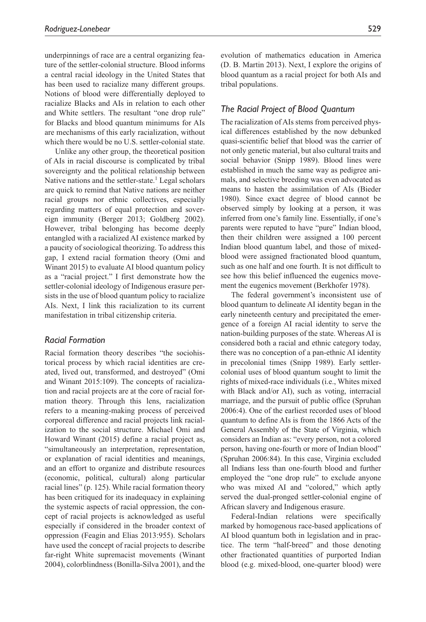underpinnings of race are a central organizing feature of the settler-colonial structure. Blood informs a central racial ideology in the United States that has been used to racialize many different groups. Notions of blood were differentially deployed to racialize Blacks and AIs in relation to each other and White settlers. The resultant "one drop rule" for Blacks and blood quantum minimums for AIs are mechanisms of this early racialization, without which there would be no U.S. settler-colonial state.

Unlike any other group, the theoretical position of AIs in racial discourse is complicated by tribal sovereignty and the political relationship between Native nations and the settler-state.<sup>1</sup> Legal scholars are quick to remind that Native nations are neither racial groups nor ethnic collectives, especially regarding matters of equal protection and sovereign immunity (Berger 2013; Goldberg 2002). However, tribal belonging has become deeply entangled with a racialized AI existence marked by a paucity of sociological theorizing. To address this gap, I extend racial formation theory (Omi and Winant 2015) to evaluate AI blood quantum policy as a "racial project." I first demonstrate how the settler-colonial ideology of Indigenous erasure persists in the use of blood quantum policy to racialize AIs. Next, I link this racialization to its current manifestation in tribal citizenship criteria.

## *Racial Formation*

Racial formation theory describes "the sociohistorical process by which racial identities are created, lived out, transformed, and destroyed" (Omi and Winant 2015:109). The concepts of racialization and racial projects are at the core of racial formation theory. Through this lens, racialization refers to a meaning-making process of perceived corporeal difference and racial projects link racialization to the social structure. Michael Omi and Howard Winant (2015) define a racial project as, "simultaneously an interpretation, representation, or explanation of racial identities and meanings, and an effort to organize and distribute resources (economic, political, cultural) along particular racial lines" (p. 125). While racial formation theory has been critiqued for its inadequacy in explaining the systemic aspects of racial oppression, the concept of racial projects is acknowledged as useful especially if considered in the broader context of oppression (Feagin and Elias 2013:955). Scholars have used the concept of racial projects to describe far-right White supremacist movements (Winant 2004), colorblindness (Bonilla-Silva 2001), and the

evolution of mathematics education in America (D. B. Martin 2013). Next, I explore the origins of blood quantum as a racial project for both AIs and tribal populations.

## *The Racial Project of Blood Quantum*

The racialization of AIs stems from perceived physical differences established by the now debunked quasi-scientific belief that blood was the carrier of not only genetic material, but also cultural traits and social behavior (Snipp 1989). Blood lines were established in much the same way as pedigree animals, and selective breeding was even advocated as means to hasten the assimilation of AIs (Bieder 1980). Since exact degree of blood cannot be observed simply by looking at a person, it was inferred from one's family line. Essentially, if one's parents were reputed to have "pure" Indian blood, then their children were assigned a 100 percent Indian blood quantum label, and those of mixedblood were assigned fractionated blood quantum, such as one half and one fourth. It is not difficult to see how this belief influenced the eugenics movement the eugenics movement (Berkhofer 1978).

The federal government's inconsistent use of blood quantum to delineate AI identity began in the early nineteenth century and precipitated the emergence of a foreign AI racial identity to serve the nation-building purposes of the state. Whereas AI is considered both a racial and ethnic category today, there was no conception of a pan-ethnic AI identity in precolonial times (Snipp 1989). Early settlercolonial uses of blood quantum sought to limit the rights of mixed-race individuals (i.e., Whites mixed with Black and/or AI), such as voting, interracial marriage, and the pursuit of public office (Spruhan 2006:4). One of the earliest recorded uses of blood quantum to define AIs is from the 1866 Acts of the General Assembly of the State of Virginia, which considers an Indian as: "every person, not a colored person, having one-fourth or more of Indian blood" (Spruhan 2006:84). In this case, Virginia excluded all Indians less than one-fourth blood and further employed the "one drop rule" to exclude anyone who was mixed AI and "colored," which aptly served the dual-pronged settler-colonial engine of African slavery and Indigenous erasure.

Federal-Indian relations were specifically marked by homogenous race-based applications of AI blood quantum both in legislation and in practice. The term "half-breed" and those denoting other fractionated quantities of purported Indian blood (e.g. mixed-blood, one-quarter blood) were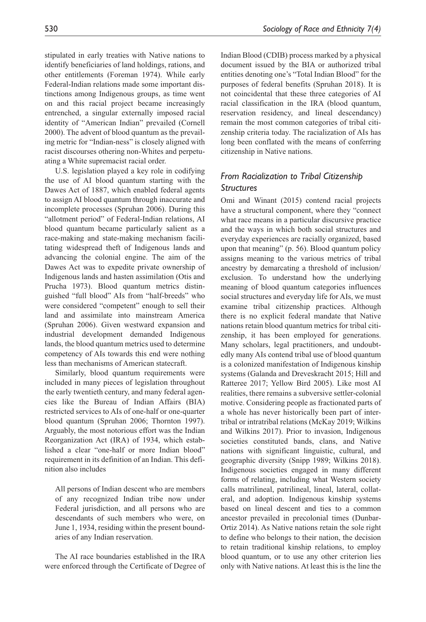stipulated in early treaties with Native nations to identify beneficiaries of land holdings, rations, and other entitlements (Foreman 1974). While early Federal-Indian relations made some important distinctions among Indigenous groups, as time went on and this racial project became increasingly entrenched, a singular externally imposed racial identity of "American Indian" prevailed (Cornell 2000). The advent of blood quantum as the prevailing metric for "Indian-ness" is closely aligned with racist discourses othering non-Whites and perpetuating a White supremacist racial order.

U.S. legislation played a key role in codifying the use of AI blood quantum starting with the Dawes Act of 1887, which enabled federal agents to assign AI blood quantum through inaccurate and incomplete processes (Spruhan 2006). During this "allotment period" of Federal-Indian relations, AI blood quantum became particularly salient as a race-making and state-making mechanism facilitating widespread theft of Indigenous lands and advancing the colonial engine. The aim of the Dawes Act was to expedite private ownership of Indigenous lands and hasten assimilation (Otis and Prucha 1973). Blood quantum metrics distinguished "full blood" AIs from "half-breeds" who were considered "competent" enough to sell their land and assimilate into mainstream America (Spruhan 2006). Given westward expansion and industrial development demanded Indigenous lands, the blood quantum metrics used to determine competency of AIs towards this end were nothing less than mechanisms of American statecraft.

Similarly, blood quantum requirements were included in many pieces of legislation throughout the early twentieth century, and many federal agencies like the Bureau of Indian Affairs (BIA) restricted services to AIs of one-half or one-quarter blood quantum (Spruhan 2006; Thornton 1997). Arguably, the most notorious effort was the Indian Reorganization Act (IRA) of 1934, which established a clear "one-half or more Indian blood" requirement in its definition of an Indian. This definition also includes

All persons of Indian descent who are members of any recognized Indian tribe now under Federal jurisdiction, and all persons who are descendants of such members who were, on June 1, 1934, residing within the present boundaries of any Indian reservation.

The AI race boundaries established in the IRA were enforced through the Certificate of Degree of

Indian Blood (CDIB) process marked by a physical document issued by the BIA or authorized tribal entities denoting one's "Total Indian Blood" for the purposes of federal benefits (Spruhan 2018). It is not coincidental that these three categories of AI racial classification in the IRA (blood quantum, reservation residency, and lineal descendancy) remain the most common categories of tribal citizenship criteria today. The racialization of AIs has long been conflated with the means of conferring citizenship in Native nations.

# *From Racialization to Tribal Citizenship Structures*

Omi and Winant (2015) contend racial projects have a structural component, where they "connect what race means in a particular discursive practice and the ways in which both social structures and everyday experiences are racially organized, based upon that meaning" (p. 56). Blood quantum policy assigns meaning to the various metrics of tribal ancestry by demarcating a threshold of inclusion/ exclusion. To understand how the underlying meaning of blood quantum categories influences social structures and everyday life for AIs, we must examine tribal citizenship practices. Although there is no explicit federal mandate that Native nations retain blood quantum metrics for tribal citizenship, it has been employed for generations. Many scholars, legal practitioners, and undoubtedly many AIs contend tribal use of blood quantum is a colonized manifestation of Indigenous kinship systems (Galanda and Dreveskracht 2015; Hill and Ratteree 2017; Yellow Bird 2005). Like most AI realities, there remains a subversive settler-colonial motive. Considering people as fractionated parts of a whole has never historically been part of intertribal or intratribal relations (McKay 2019; Wilkins and Wilkins 2017). Prior to invasion, Indigenous societies constituted bands, clans, and Native nations with significant linguistic, cultural, and geographic diversity (Snipp 1989; Wilkins 2018). Indigenous societies engaged in many different forms of relating, including what Western society calls matrilineal, patrilineal, lineal, lateral, collateral, and adoption. Indigenous kinship systems based on lineal descent and ties to a common ancestor prevailed in precolonial times (Dunbar-Ortiz 2014). As Native nations retain the sole right to define who belongs to their nation, the decision to retain traditional kinship relations, to employ blood quantum, or to use any other criterion lies only with Native nations. At least this is the line the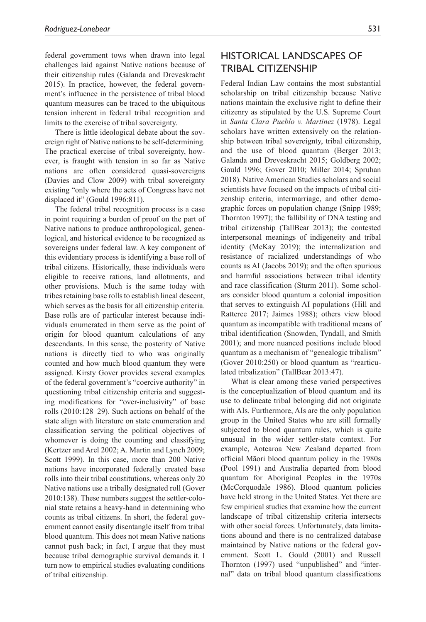federal government tows when drawn into legal challenges laid against Native nations because of their citizenship rules (Galanda and Dreveskracht 2015). In practice, however, the federal government's influence in the persistence of tribal blood quantum measures can be traced to the ubiquitous tension inherent in federal tribal recognition and limits to the exercise of tribal sovereignty.

There is little ideological debate about the sovereign right of Native nations to be self-determining. The practical exercise of tribal sovereignty, however, is fraught with tension in so far as Native nations are often considered quasi-sovereigns (Davies and Clow 2009) with tribal sovereignty existing "only where the acts of Congress have not displaced it" (Gould 1996:811).

The federal tribal recognition process is a case in point requiring a burden of proof on the part of Native nations to produce anthropological, genealogical, and historical evidence to be recognized as sovereigns under federal law. A key component of this evidentiary process is identifying a base roll of tribal citizens. Historically, these individuals were eligible to receive rations, land allotments, and other provisions. Much is the same today with tribes retaining base rolls to establish lineal descent, which serves as the basis for all citizenship criteria. Base rolls are of particular interest because individuals enumerated in them serve as the point of origin for blood quantum calculations of any descendants. In this sense, the posterity of Native nations is directly tied to who was originally counted and how much blood quantum they were assigned. Kirsty Gover provides several examples of the federal government's "coercive authority" in questioning tribal citizenship criteria and suggesting modifications for "over-inclusivity" of base rolls (2010:128–29). Such actions on behalf of the state align with literature on state enumeration and classification serving the political objectives of whomever is doing the counting and classifying (Kertzer and Arel 2002; A. Martin and Lynch 2009; Scott 1999). In this case, more than 200 Native nations have incorporated federally created base rolls into their tribal constitutions, whereas only 20 Native nations use a tribally designated roll (Gover 2010:138). These numbers suggest the settler-colonial state retains a heavy-hand in determining who counts as tribal citizens. In short, the federal government cannot easily disentangle itself from tribal blood quantum. This does not mean Native nations cannot push back; in fact, I argue that they must because tribal demographic survival demands it. I turn now to empirical studies evaluating conditions of tribal citizenship.

# Historical Landscapes of Tribal Citizenship

Federal Indian Law contains the most substantial scholarship on tribal citizenship because Native nations maintain the exclusive right to define their citizenry as stipulated by the U.S. Supreme Court in *Santa Clara Pueblo v. Martinez* (1978). Legal scholars have written extensively on the relationship between tribal sovereignty, tribal citizenship, and the use of blood quantum (Berger 2013; Galanda and Dreveskracht 2015; Goldberg 2002; Gould 1996; Gover 2010; Miller 2014; Spruhan 2018). Native American Studies scholars and social scientists have focused on the impacts of tribal citizenship criteria, intermarriage, and other demographic forces on population change (Snipp 1989; Thornton 1997); the fallibility of DNA testing and tribal citizenship (TallBear 2013); the contested interpersonal meanings of indigeneity and tribal identity (McKay 2019); the internalization and resistance of racialized understandings of who counts as AI (Jacobs 2019); and the often spurious and harmful associations between tribal identity and race classification (Sturm 2011). Some scholars consider blood quantum a colonial imposition that serves to extinguish AI populations (Hill and Ratteree 2017; Jaimes 1988); others view blood quantum as incompatible with traditional means of tribal identification (Snowden, Tyndall, and Smith 2001); and more nuanced positions include blood quantum as a mechanism of "genealogic tribalism" (Gover 2010:250) or blood quantum as "rearticulated tribalization" (TallBear 2013:47).

What is clear among these varied perspectives is the conceptualization of blood quantum and its use to delineate tribal belonging did not originate with AIs. Furthermore, AIs are the only population group in the United States who are still formally subjected to blood quantum rules, which is quite unusual in the wider settler-state context. For example, Aotearoa New Zealand departed from official Māori blood quantum policy in the 1980s (Pool 1991) and Australia departed from blood quantum for Aboriginal Peoples in the 1970s (McCorquodale 1986). Blood quantum policies have held strong in the United States. Yet there are few empirical studies that examine how the current landscape of tribal citizenship criteria intersects with other social forces. Unfortunately, data limitations abound and there is no centralized database maintained by Native nations or the federal government. Scott L. Gould (2001) and Russell Thornton (1997) used "unpublished" and "internal" data on tribal blood quantum classifications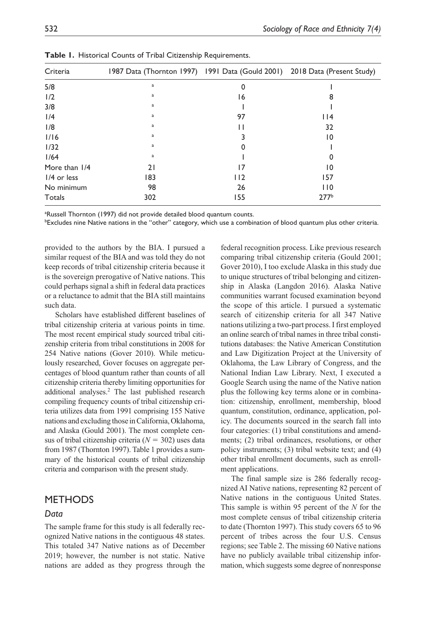| Criteria      | 1987 Data (Thornton 1997) 1991 Data (Gould 2001) 2018 Data (Present Study) |     |                  |
|---------------|----------------------------------------------------------------------------|-----|------------------|
| 5/8           | a                                                                          |     |                  |
| 1/2           | a                                                                          | 16  |                  |
| 3/8           | a                                                                          |     |                  |
| 1/4           | a                                                                          | 97  | $ $  4           |
| 1/8           | a                                                                          |     | 32               |
| 1/16          | a                                                                          |     | 10               |
| 1/32          | a                                                                          |     |                  |
| 1/64          | a                                                                          |     |                  |
| More than 1/4 | 21                                                                         | 17  | 10               |
| $1/4$ or less | 183                                                                        | 112 | 157              |
| No minimum    | 98                                                                         | 26  | 110              |
| Totals        | 302                                                                        | 55  | 277 <sup>b</sup> |

**Table 1.** Historical Counts of Tribal Citizenship Requirements.

<sup>a</sup>Russell Thornton (1997) did not provide detailed blood quantum counts.

b Excludes nine Native nations in the "other" category, which use a combination of blood quantum plus other criteria.

provided to the authors by the BIA. I pursued a similar request of the BIA and was told they do not keep records of tribal citizenship criteria because it is the sovereign prerogative of Native nations. This could perhaps signal a shift in federal data practices or a reluctance to admit that the BIA still maintains such data.

Scholars have established different baselines of tribal citizenship criteria at various points in time. The most recent empirical study sourced tribal citizenship criteria from tribal constitutions in 2008 for 254 Native nations (Gover 2010). While meticulously researched, Gover focuses on aggregate percentages of blood quantum rather than counts of all citizenship criteria thereby limiting opportunities for additional analyses.<sup>2</sup> The last published research compiling frequency counts of tribal citizenship criteria utilizes data from 1991 comprising 155 Native nations and excluding those in California, Oklahoma, and Alaska (Gould 2001). The most complete census of tribal citizenship criteria (*N* = 302) uses data from 1987 (Thornton 1997). Table 1 provides a summary of the historical counts of tribal citizenship criteria and comparison with the present study.

## **METHODS**

### *Data*

The sample frame for this study is all federally recognized Native nations in the contiguous 48 states. This totaled 347 Native nations as of December 2019; however, the number is not static. Native nations are added as they progress through the

federal recognition process. Like previous research comparing tribal citizenship criteria (Gould 2001; Gover 2010), I too exclude Alaska in this study due to unique structures of tribal belonging and citizenship in Alaska (Langdon 2016). Alaska Native communities warrant focused examination beyond the scope of this article. I pursued a systematic search of citizenship criteria for all 347 Native nations utilizing a two-part process. I first employed an online search of tribal names in three tribal constitutions databases: the Native American Constitution and Law Digitization Project at the University of Oklahoma, the Law Library of Congress, and the National Indian Law Library. Next, I executed a Google Search using the name of the Native nation plus the following key terms alone or in combination: citizenship, enrollment, membership, blood quantum, constitution, ordinance, application, policy. The documents sourced in the search fall into four categories: (1) tribal constitutions and amendments; (2) tribal ordinances, resolutions, or other policy instruments; (3) tribal website text; and (4) other tribal enrollment documents, such as enrollment applications.

The final sample size is 286 federally recognized AI Native nations, representing 82 percent of Native nations in the contiguous United States. This sample is within 95 percent of the *N* for the most complete census of tribal citizenship criteria to date (Thornton 1997). This study covers 65 to 96 percent of tribes across the four U.S. Census regions; see Table 2. The missing 60 Native nations have no publicly available tribal citizenship information, which suggests some degree of nonresponse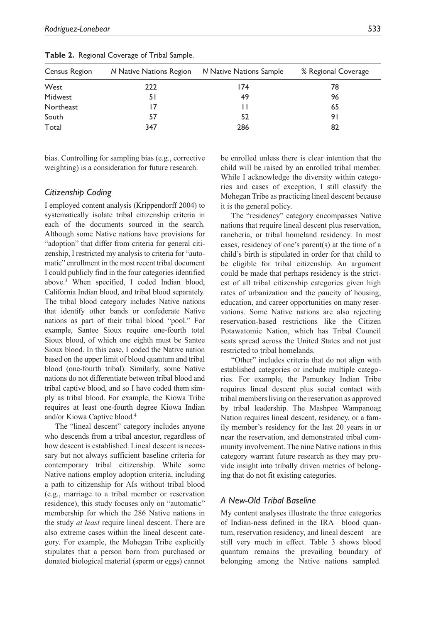| Census Region | N Native Nations Region | N Native Nations Sample | % Regional Coverage |
|---------------|-------------------------|-------------------------|---------------------|
| West          | 222                     | 174                     | 78                  |
| Midwest       | 51                      | 49                      | 96                  |
| Northeast     | 17                      | $\mathsf{I}$            | 65                  |
| South         | 57                      | 52                      | 91                  |
| Total         | 347                     | 286                     | 82                  |

**Table 2.** Regional Coverage of Tribal Sample.

bias. Controlling for sampling bias (e.g., corrective weighting) is a consideration for future research.

## *Citizenship Coding*

I employed content analysis (Krippendorff 2004) to systematically isolate tribal citizenship criteria in each of the documents sourced in the search. Although some Native nations have provisions for "adoption" that differ from criteria for general citizenship, I restricted my analysis to criteria for "automatic" enrollment in the most recent tribal document I could publicly find in the four categories identified above.3 When specified, I coded Indian blood, California Indian blood, and tribal blood separately. The tribal blood category includes Native nations that identify other bands or confederate Native nations as part of their tribal blood "pool." For example, Santee Sioux require one-fourth total Sioux blood, of which one eighth must be Santee Sioux blood. In this case, I coded the Native nation based on the upper limit of blood quantum and tribal blood (one-fourth tribal). Similarly, some Native nations do not differentiate between tribal blood and tribal captive blood, and so I have coded them simply as tribal blood. For example, the Kiowa Tribe requires at least one-fourth degree Kiowa Indian and/or Kiowa Captive blood.4

The "lineal descent" category includes anyone who descends from a tribal ancestor, regardless of how descent is established. Lineal descent is necessary but not always sufficient baseline criteria for contemporary tribal citizenship. While some Native nations employ adoption criteria, including a path to citizenship for AIs without tribal blood (e.g., marriage to a tribal member or reservation residence), this study focuses only on "automatic" membership for which the 286 Native nations in the study *at least* require lineal descent. There are also extreme cases within the lineal descent category. For example, the Mohegan Tribe explicitly stipulates that a person born from purchased or donated biological material (sperm or eggs) cannot

be enrolled unless there is clear intention that the child will be raised by an enrolled tribal member. While I acknowledge the diversity within categories and cases of exception, I still classify the Mohegan Tribe as practicing lineal descent because it is the general policy.

The "residency" category encompasses Native nations that require lineal descent plus reservation, rancheria, or tribal homeland residency. In most cases, residency of one's parent(s) at the time of a child's birth is stipulated in order for that child to be eligible for tribal citizenship. An argument could be made that perhaps residency is the strictest of all tribal citizenship categories given high rates of urbanization and the paucity of housing, education, and career opportunities on many reservations. Some Native nations are also rejecting reservation-based restrictions like the Citizen Potawatomie Nation, which has Tribal Council seats spread across the United States and not just restricted to tribal homelands.

"Other" includes criteria that do not align with established categories or include multiple categories. For example, the Pamunkey Indian Tribe requires lineal descent plus social contact with tribal members living on the reservation as approved by tribal leadership. The Mashpee Wampanoag Nation requires lineal descent, residency, or a family member's residency for the last 20 years in or near the reservation, and demonstrated tribal community involvement. The nine Native nations in this category warrant future research as they may provide insight into tribally driven metrics of belonging that do not fit existing categories.

## *A New-Old Tribal Baseline*

My content analyses illustrate the three categories of Indian-ness defined in the IRA—blood quantum, reservation residency, and lineal descent—are still very much in effect. Table 3 shows blood quantum remains the prevailing boundary of belonging among the Native nations sampled.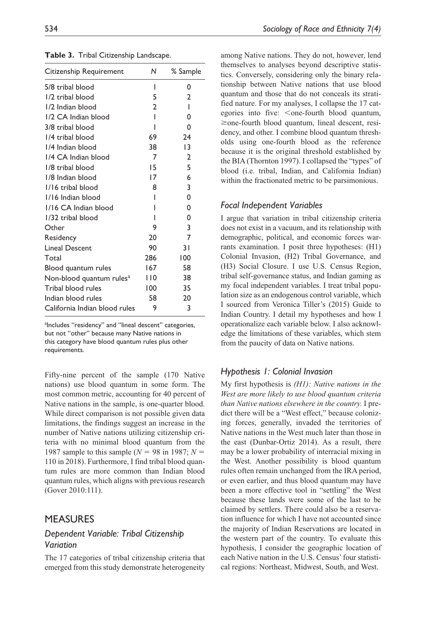| Citizenship Requirement              | Ν              | % Sample       |
|--------------------------------------|----------------|----------------|
| 5/8 tribal blood                     | ı              | 0              |
| 1/2 tribal blood                     | 5              | 2              |
| 1/2 Indian blood                     | $\mathfrak{p}$ | I              |
| 1/2 CA Indian blood                  | ı              | 0              |
| 3/8 tribal blood                     | ı              | 0              |
| 1/4 tribal blood                     | 69             | 24             |
| 1/4 Indian blood                     | 38             | 13             |
| 1/4 CA Indian blood                  | 7              | $\mathfrak{p}$ |
| 1/8 tribal blood                     | 15             | 5              |
| 1/8 Indian blood                     | 17             | 6              |
| 1/16 tribal blood                    | 8              | 3              |
| 1/16 Indian blood                    |                | 0              |
| 1/16 CA Indian blood                 |                | 0              |
| 1/32 tribal blood                    | ı              | 0              |
| Other                                | 9              | 3              |
| Residency                            | 20             | 7              |
| <b>Lineal Descent</b>                | 90             | 31             |
| Total                                | 286            | 100            |
| Blood quantum rules                  | 167            | 58             |
| Non-blood quantum rules <sup>a</sup> | l 10           | 38             |
| Tribal blood rules                   | 100            | 35             |
| Indian blood rules                   | 58             | 20             |
| California Indian blood rules        | 9              | 3              |

**Table 3.** Tribal Citizenship Landscape.

<sup>a</sup>Includes "residency" and "lineal descent" categories, but not "other" because many Native nations in this category have blood quantum rules plus other requirements.

Fifty-nine percent of the sample (170 Native nations) use blood quantum in some form. The most common metric, accounting for 40 percent of Native nations in the sample, is one-quarter blood. While direct comparison is not possible given data limitations, the findings suggest an increase in the number of Native nations utilizing citizenship criteria with no minimal blood quantum from the 1987 sample to this sample (*N* = 98 in 1987; *N* = 110 in 2018). Furthermore, I find tribal blood quantum rules are more common than Indian blood quantum rules, which aligns with previous research (Gover 2010:111).

# **MEASURES**

# *Dependent Variable: Tribal Citizenship Variation*

The 17 categories of tribal citizenship criteria that emerged from this study demonstrate heterogeneity among Native nations. They do not, however, lend themselves to analyses beyond descriptive statistics. Conversely, considering only the binary relationship between Native nations that use blood quantum and those that do not conceals its stratified nature. For my analyses, I collapse the 17 categories into five: < one-fourth blood quantum, ≥one-fourth blood quantum, lineal descent, residency, and other. I combine blood quantum thresholds using one-fourth blood as the reference because it is the original threshold established by the BIA (Thornton 1997). I collapsed the "types" of blood (i.e. tribal, Indian, and California Indian) within the fractionated metric to be parsimonious.

#### *Focal Independent Variables*

I argue that variation in tribal citizenship criteria does not exist in a vacuum, and its relationship with demographic, political, and economic forces warrants examination. I posit three hypotheses: (H1) Colonial Invasion, (H2) Tribal Governance, and (H3) Social Closure. I use U.S. Census Region, tribal self-governance status, and Indian gaming as my focal independent variables. I treat tribal population size as an endogenous control variable, which I sourced from Veronica Tiller's (2015) Guide to Indian Country. I detail my hypotheses and how I operationalize each variable below. I also acknowledge the limitations of these variables, which stem from the paucity of data on Native nations.

## *Hypothesis 1: Colonial Invasion*

My first hypothesis is *(H1): Native nations in the West are more likely to use blood quantum criteria than Native nations elsewhere in the country.* I predict there will be a "West effect," because colonizing forces, generally, invaded the territories of Native nations in the West much later than those in the east (Dunbar-Ortiz 2014). As a result, there may be a lower probability of interracial mixing in the West. Another possibility is blood quantum rules often remain unchanged from the IRA period, or even earlier, and thus blood quantum may have been a more effective tool in "settling" the West because these lands were some of the last to be claimed by settlers. There could also be a reservation influence for which I have not accounted since the majority of Indian Reservations are located in the western part of the country. To evaluate this hypothesis, I consider the geographic location of each Native nation in the U.S. Census' four statistical regions: Northeast, Midwest, South, and West.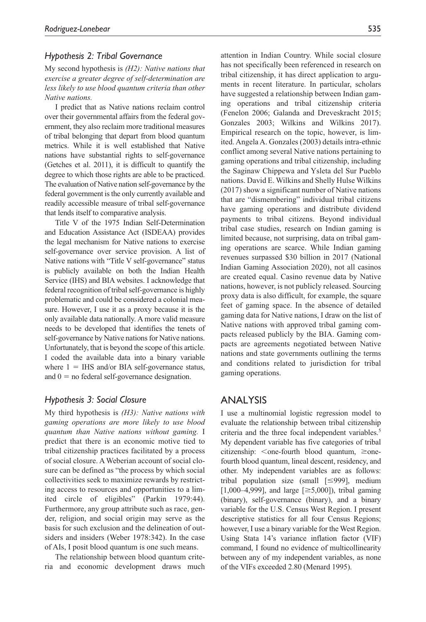#### *Hypothesis 2: Tribal Governance*

My second hypothesis is *(H2): Native nations that exercise a greater degree of self-determination are less likely to use blood quantum criteria than other Native nations.*

I predict that as Native nations reclaim control over their governmental affairs from the federal government, they also reclaim more traditional measures of tribal belonging that depart from blood quantum metrics. While it is well established that Native nations have substantial rights to self-governance (Getches et al. 2011), it is difficult to quantify the degree to which those rights are able to be practiced. The evaluation of Native nation self-governance by the federal government is the only currently available and readily accessible measure of tribal self-governance that lends itself to comparative analysis.

Title V of the 1975 Indian Self-Determination and Education Assistance Act (ISDEAA) provides the legal mechanism for Native nations to exercise self-governance over service provision. A list of Native nations with "Title V self-governance" status is publicly available on both the Indian Health Service (IHS) and BIA websites. I acknowledge that federal recognition of tribal self-governance is highly problematic and could be considered a colonial measure. However, I use it as a proxy because it is the only available data nationally. A more valid measure needs to be developed that identifies the tenets of self-governance by Native nations for Native nations. Unfortunately, that is beyond the scope of this article. I coded the available data into a binary variable where  $1 = IHS$  and/or BIA self-governance status, and  $0 =$  no federal self-governance designation.

### *Hypothesis 3: Social Closure*

My third hypothesis is *(H3): Native nations with gaming operations are more likely to use blood quantum than Native nations without gaming.* I predict that there is an economic motive tied to tribal citizenship practices facilitated by a process of social closure. A Weberian account of social closure can be defined as "the process by which social collectivities seek to maximize rewards by restricting access to resources and opportunities to a limited circle of eligibles" (Parkin 1979:44). Furthermore, any group attribute such as race, gender, religion, and social origin may serve as the basis for such exclusion and the delineation of outsiders and insiders (Weber 1978:342). In the case of AIs, I posit blood quantum is one such means.

The relationship between blood quantum criteria and economic development draws much attention in Indian Country. While social closure has not specifically been referenced in research on tribal citizenship, it has direct application to arguments in recent literature. In particular, scholars have suggested a relationship between Indian gaming operations and tribal citizenship criteria (Fenelon 2006; Galanda and Dreveskracht 2015; Gonzales 2003; Wilkins and Wilkins 2017). Empirical research on the topic, however, is limited. Angela A. Gonzales (2003) details intra-ethnic conflict among several Native nations pertaining to gaming operations and tribal citizenship, including the Saginaw Chippewa and Ysleta del Sur Pueblo nations. David E. Wilkins and Shelly Hulse Wilkins (2017) show a significant number of Native nations that are "dismembering" individual tribal citizens have gaming operations and distribute dividend payments to tribal citizens. Beyond individual tribal case studies, research on Indian gaming is limited because, not surprising, data on tribal gaming operations are scarce. While Indian gaming revenues surpassed \$30 billion in 2017 (National Indian Gaming Association 2020), not all casinos are created equal. Casino revenue data by Native nations, however, is not publicly released. Sourcing proxy data is also difficult, for example, the square feet of gaming space. In the absence of detailed gaming data for Native nations, I draw on the list of Native nations with approved tribal gaming compacts released publicly by the BIA. Gaming compacts are agreements negotiated between Native nations and state governments outlining the terms and conditions related to jurisdiction for tribal gaming operations.

## **ANALYSIS**

I use a multinomial logistic regression model to evaluate the relationship between tribal citizenship criteria and the three focal independent variables.<sup>5</sup> My dependent variable has five categories of tribal citizenship:  $\leq$ one-fourth blood quantum,  $\geq$ onefourth blood quantum, lineal descent, residency, and other. My independent variables are as follows: tribal population size (small [≤999], medium [1,000–4,999], and large [ $\geq 5,000$ ]), tribal gaming (binary), self-governance (binary), and a binary variable for the U.S. Census West Region. I present descriptive statistics for all four Census Regions; however, I use a binary variable for the West Region. Using Stata 14's variance inflation factor (VIF) command, I found no evidence of multicollinearity between any of my independent variables, as none of the VIFs exceeded 2.80 (Menard 1995).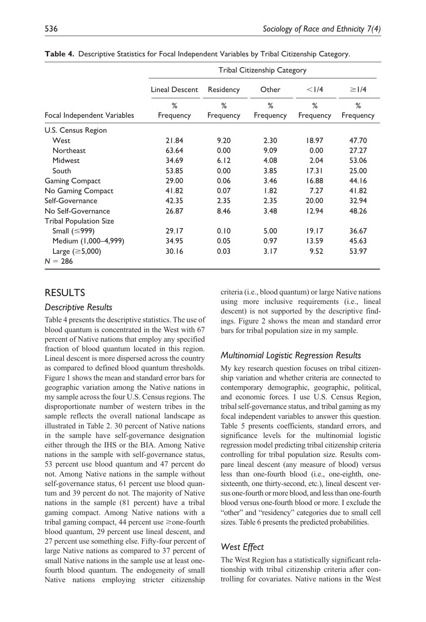|                               | <b>Tribal Citizenship Category</b> |           |           |           |            |  |  |
|-------------------------------|------------------------------------|-----------|-----------|-----------|------------|--|--|
|                               | Lineal Descent                     | Residency | Other     | $<$ $1/4$ | $\geq$  /4 |  |  |
|                               | %                                  | %         | %         | %         | %          |  |  |
| Focal Independent Variables   | Frequency                          | Frequency | Frequency | Frequency | Frequency  |  |  |
| U.S. Census Region            |                                    |           |           |           |            |  |  |
| West                          | 21.84                              | 9.20      | 2.30      | 18.97     | 47.70      |  |  |
| Northeast                     | 63.64                              | 0.00      | 9.09      | 0.00      | 27.27      |  |  |
| Midwest                       | 34.69                              | 6.12      | 4.08      | 2.04      | 53.06      |  |  |
| South                         | 53.85                              | 0.00      | 3.85      | 17.31     | 25.00      |  |  |
| <b>Gaming Compact</b>         | 29.00                              | 0.06      | 3.46      | 16.88     | 44.16      |  |  |
| No Gaming Compact             | 41.82                              | 0.07      | 1.82      | 7.27      | 41.82      |  |  |
| Self-Governance               | 42.35                              | 2.35      | 2.35      | 20.00     | 32.94      |  |  |
| No Self-Governance            | 26.87                              | 8.46      | 3.48      | 12.94     | 48.26      |  |  |
| <b>Tribal Population Size</b> |                                    |           |           |           |            |  |  |
| Small $(\leq 999)$            | 29.17                              | 0.10      | 5.00      | 19.17     | 36.67      |  |  |
| Medium (1,000-4,999)          | 34.95                              | 0.05      | 0.97      | 13.59     | 45.63      |  |  |
| Large $(\geq 5,000)$          | 30.16                              | 0.03      | 3.17      | 9.52      | 53.97      |  |  |
| $N = 286$                     |                                    |           |           |           |            |  |  |

**Table 4.** Descriptive Statistics for Focal Independent Variables by Tribal Citizenship Category.

# **RESULTS**

#### *Descriptive Results*

Table 4 presents the descriptive statistics. The use of blood quantum is concentrated in the West with 67 percent of Native nations that employ any specified fraction of blood quantum located in this region. Lineal descent is more dispersed across the country as compared to defined blood quantum thresholds. Figure 1 shows the mean and standard error bars for geographic variation among the Native nations in my sample across the four U.S. Census regions. The disproportionate number of western tribes in the sample reflects the overall national landscape as illustrated in Table 2. 30 percent of Native nations in the sample have self-governance designation either through the IHS or the BIA. Among Native nations in the sample with self-governance status, 53 percent use blood quantum and 47 percent do not. Among Native nations in the sample without self-governance status, 61 percent use blood quantum and 39 percent do not. The majority of Native nations in the sample (81 percent) have a tribal gaming compact. Among Native nations with a tribal gaming compact, 44 percent use ≥one-fourth blood quantum, 29 percent use lineal descent, and 27 percent use something else. Fifty-four percent of large Native nations as compared to 37 percent of small Native nations in the sample use at least onefourth blood quantum. The endogeneity of small Native nations employing stricter citizenship

criteria (i.e., blood quantum) or large Native nations using more inclusive requirements (i.e., lineal descent) is not supported by the descriptive findings. Figure 2 shows the mean and standard error bars for tribal population size in my sample.

### *Multinomial Logistic Regression Results*

My key research question focuses on tribal citizenship variation and whether criteria are connected to contemporary demographic, geographic, political, and economic forces. I use U.S. Census Region, tribal self-governance status, and tribal gaming as my focal independent variables to answer this question. Table 5 presents coefficients, standard errors, and significance levels for the multinomial logistic regression model predicting tribal citizenship criteria controlling for tribal population size. Results compare lineal descent (any measure of blood) versus less than one-fourth blood (i.e., one-eighth, onesixteenth, one thirty-second, etc.), lineal descent versus one-fourth or more blood, and less than one-fourth blood versus one-fourth blood or more. I exclude the "other" and "residency" categories due to small cell sizes. Table 6 presents the predicted probabilities.

## *West Effect*

The West Region has a statistically significant relationship with tribal citizenship criteria after controlling for covariates. Native nations in the West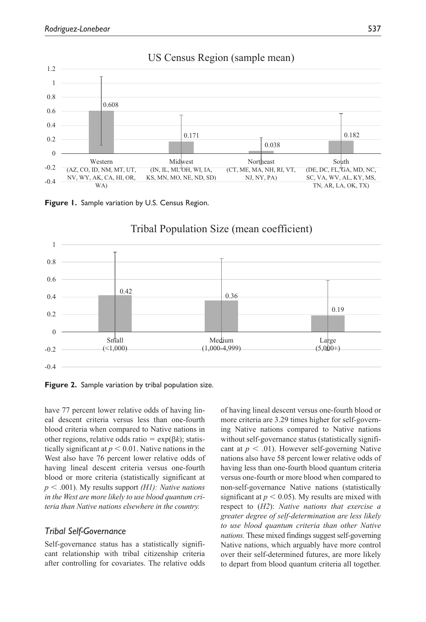

# US Census Region (sample mean)





# Tribal Population Size (mean coefficient)

**Figure 2.** Sample variation by tribal population size.

have 77 percent lower relative odds of having lineal descent criteria versus less than one-fourth blood criteria when compared to Native nations in other regions, relative odds ratio = exp(β*k*); statistically significant at  $p < 0.01$ . Native nations in the West also have 76 percent lower relative odds of having lineal descent criteria versus one-fourth blood or more criteria (statistically significant at *p* < .001). My results support *(H1): Native nations in the West are more likely to use blood quantum criteria than Native nations elsewhere in the country.*

## *Tribal Self-Governance*

Self-governance status has a statistically significant relationship with tribal citizenship criteria after controlling for covariates. The relative odds of having lineal descent versus one-fourth blood or more criteria are 3.29 times higher for self-governing Native nations compared to Native nations without self-governance status (statistically significant at  $p < .01$ ). However self-governing Native nations also have 58 percent lower relative odds of having less than one-fourth blood quantum criteria versus one-fourth or more blood when compared to non-self-governance Native nations (statistically significant at  $p < 0.05$ ). My results are mixed with respect to (*H2*): *Native nations that exercise a greater degree of self-determination are less likely to use blood quantum criteria than other Native nations.* These mixed findings suggest self-governing Native nations, which arguably have more control over their self-determined futures, are more likely to depart from blood quantum criteria all together.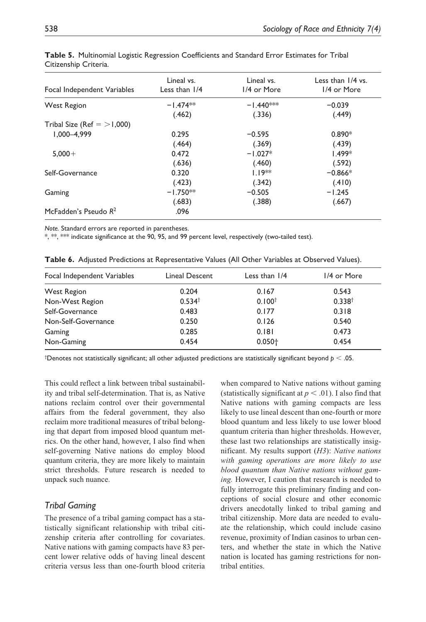| Focal Independent Variables  | Lineal vs.<br>Less than 1/4 | Lineal vs.<br>1/4 or More | Less than $1/4$ vs.<br>1/4 or More |
|------------------------------|-----------------------------|---------------------------|------------------------------------|
| <b>West Region</b>           | $-1.474**$                  | $-1.440***$               | $-0.039$                           |
|                              | (.462)                      | (.336)                    | (.449)                             |
| Tribal Size (Ref $=$ >1,000) |                             |                           |                                    |
| $1.000 - 4.999$              | 0.295                       | $-0.595$                  | $0.890*$                           |
|                              | (.464)                      | (.369)                    | (.439)                             |
| $5.000 +$                    | 0.472                       | $-1.027*$                 | $1.499*$                           |
|                              | (.636)                      | (.460)                    | (.592)                             |
| Self-Governance              | 0.320                       | $1.19**$                  | $-0.866*$                          |
|                              | (.423)                      | (.342)                    | (.410)                             |
| Gaming                       | $-1.750**$                  | $-0.505$                  | $-1.245$                           |
|                              | (.683)                      | (.388)                    | (.667)                             |
| McFadden's Pseudo $R^2$      | .096                        |                           |                                    |

**Table 5.** Multinomial Logistic Regression Coefficients and Standard Error Estimates for Tribal Citizenship Criteria.

*Note.* Standard errors are reported in parentheses.

\*, \*\*, \*\*\* indicate significance at the 90, 95, and 99 percent level, respectively (two-tailed test).

|  | Table 6. Adjusted Predictions at Representative Values (All Other Variables at Observed Values). |  |  |  |  |  |  |
|--|--------------------------------------------------------------------------------------------------|--|--|--|--|--|--|
|--|--------------------------------------------------------------------------------------------------|--|--|--|--|--|--|

| Focal Independent Variables | Lineal Descent     | Less than $1/4$    | 1/4 or More        |
|-----------------------------|--------------------|--------------------|--------------------|
| <b>West Region</b>          | 0.204              | 0.167              | 0.543              |
| Non-West Region             | 0.534 <sup>†</sup> | 0.100 <sup>†</sup> | 0.338 <sup>†</sup> |
| Self-Governance             | 0.483              | 0.177              | 0.318              |
| Non-Self-Governance         | 0.250              | 0.126              | 0.540              |
| Gaming                      | 0.285              | 0.181              | 0.473              |
| Non-Gaming                  | 0.454              | $0.050 +$          | 0.454              |

† Denotes not statistically significant; all other adjusted predictions are statistically significant beyond *p* < .05.

This could reflect a link between tribal sustainability and tribal self-determination. That is, as Native nations reclaim control over their governmental affairs from the federal government, they also reclaim more traditional measures of tribal belonging that depart from imposed blood quantum metrics. On the other hand, however, I also find when self-governing Native nations do employ blood quantum criteria, they are more likely to maintain strict thresholds. Future research is needed to unpack such nuance.

### *Tribal Gaming*

The presence of a tribal gaming compact has a statistically significant relationship with tribal citizenship criteria after controlling for covariates. Native nations with gaming compacts have 83 percent lower relative odds of having lineal descent criteria versus less than one-fourth blood criteria

when compared to Native nations without gaming (statistically significant at  $p < .01$ ). I also find that Native nations with gaming compacts are less likely to use lineal descent than one-fourth or more blood quantum and less likely to use lower blood quantum criteria than higher thresholds. However, these last two relationships are statistically insignificant. My results support (*H3*): *Native nations with gaming operations are more likely to use blood quantum than Native nations without gaming.* However, I caution that research is needed to fully interrogate this preliminary finding and conceptions of social closure and other economic drivers anecdotally linked to tribal gaming and tribal citizenship. More data are needed to evaluate the relationship, which could include casino revenue, proximity of Indian casinos to urban centers, and whether the state in which the Native nation is located has gaming restrictions for nontribal entities.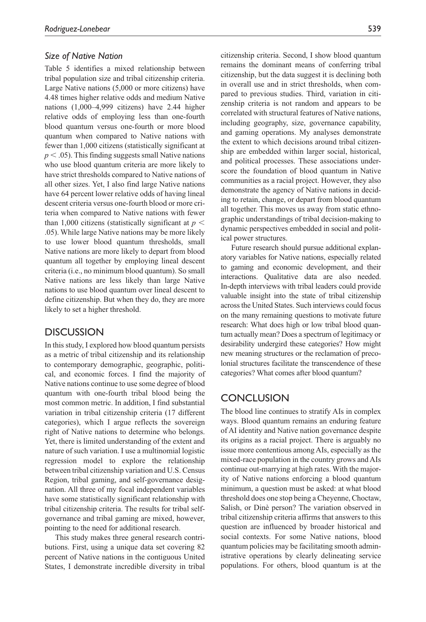## *Size of Native Nation*

Table 5 identifies a mixed relationship between tribal population size and tribal citizenship criteria. Large Native nations (5,000 or more citizens) have 4.48 times higher relative odds and medium Native nations (1,000–4,999 citizens) have 2.44 higher relative odds of employing less than one-fourth blood quantum versus one-fourth or more blood quantum when compared to Native nations with fewer than 1,000 citizens (statistically significant at  $p < .05$ ). This finding suggests small Native nations who use blood quantum criteria are more likely to have strict thresholds compared to Native nations of all other sizes. Yet, I also find large Native nations have 64 percent lower relative odds of having lineal descent criteria versus one-fourth blood or more criteria when compared to Native nations with fewer than 1,000 citizens (statistically significant at  $p <$ .05). While large Native nations may be more likely to use lower blood quantum thresholds, small Native nations are more likely to depart from blood quantum all together by employing lineal descent criteria (i.e., no minimum blood quantum). So small Native nations are less likely than large Native nations to use blood quantum over lineal descent to define citizenship. But when they do, they are more likely to set a higher threshold.

# **DISCUSSION**

In this study, I explored how blood quantum persists as a metric of tribal citizenship and its relationship to contemporary demographic, geographic, political, and economic forces. I find the majority of Native nations continue to use some degree of blood quantum with one-fourth tribal blood being the most common metric. In addition, I find substantial variation in tribal citizenship criteria (17 different categories), which I argue reflects the sovereign right of Native nations to determine who belongs. Yet, there is limited understanding of the extent and nature of such variation. I use a multinomial logistic regression model to explore the relationship between tribal citizenship variation and U.S. Census Region, tribal gaming, and self-governance designation. All three of my focal independent variables have some statistically significant relationship with tribal citizenship criteria. The results for tribal selfgovernance and tribal gaming are mixed, however, pointing to the need for additional research.

This study makes three general research contributions. First, using a unique data set covering 82 percent of Native nations in the contiguous United States, I demonstrate incredible diversity in tribal citizenship criteria. Second, I show blood quantum remains the dominant means of conferring tribal citizenship, but the data suggest it is declining both in overall use and in strict thresholds, when compared to previous studies. Third, variation in citizenship criteria is not random and appears to be correlated with structural features of Native nations, including geography, size, governance capability, and gaming operations. My analyses demonstrate the extent to which decisions around tribal citizenship are embedded within larger social, historical, and political processes. These associations underscore the foundation of blood quantum in Native communities as a racial project. However, they also demonstrate the agency of Native nations in deciding to retain, change, or depart from blood quantum all together. This moves us away from static ethnographic understandings of tribal decision-making to dynamic perspectives embedded in social and political power structures.

Future research should pursue additional explanatory variables for Native nations, especially related to gaming and economic development, and their interactions. Qualitative data are also needed. In-depth interviews with tribal leaders could provide valuable insight into the state of tribal citizenship across the United States. Such interviews could focus on the many remaining questions to motivate future research: What does high or low tribal blood quantum actually mean? Does a spectrum of legitimacy or desirability undergird these categories? How might new meaning structures or the reclamation of precolonial structures facilitate the transcendence of these categories? What comes after blood quantum?

# Conclusion

The blood line continues to stratify AIs in complex ways. Blood quantum remains an enduring feature of AI identity and Native nation governance despite its origins as a racial project. There is arguably no issue more contentious among AIs, especially as the mixed-race population in the country grows and AIs continue out-marrying at high rates. With the majority of Native nations enforcing a blood quantum minimum, a question must be asked: at what blood threshold does one stop being a Cheyenne, Choctaw, Salish, or Dinè person? The variation observed in tribal citizenship criteria affirms that answers to this question are influenced by broader historical and social contexts. For some Native nations, blood quantum policies may be facilitating smooth administrative operations by clearly delineating service populations. For others, blood quantum is at the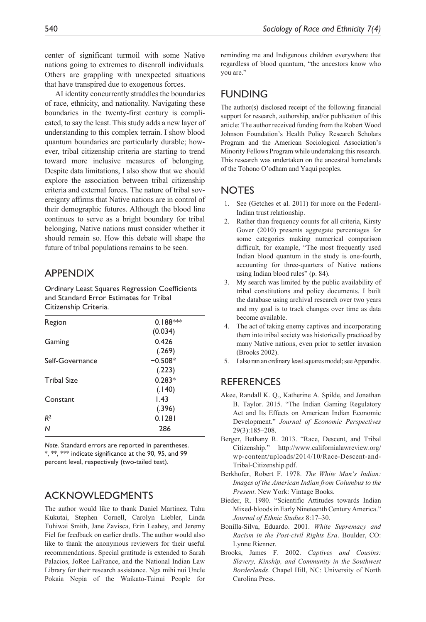AI identity concurrently straddles the boundaries of race, ethnicity, and nationality. Navigating these boundaries in the twenty-first century is complicated, to say the least. This study adds a new layer of understanding to this complex terrain. I show blood quantum boundaries are particularly durable; however, tribal citizenship criteria are starting to trend toward more inclusive measures of belonging. Despite data limitations, I also show that we should explore the association between tribal citizenship criteria and external forces. The nature of tribal sovereignty affirms that Native nations are in control of their demographic futures. Although the blood line continues to serve as a bright boundary for tribal belonging, Native nations must consider whether it should remain so. How this debate will shape the future of tribal populations remains to be seen.

# **APPENDIX**

Ordinary Least Squares Regression Coefficients and Standard Error Estimates for Tribal Citizenship Criteria.

| Region             | $0.188***$ |
|--------------------|------------|
|                    | (0.034)    |
| Gaming             | 0.426      |
|                    | (.269)     |
| Self-Governance    | $-0.508*$  |
|                    | (.223)     |
| <b>Tribal Size</b> | $0.283*$   |
|                    | (.140)     |
| Constant           | 1.43       |
|                    | (.396)     |
| R <sup>2</sup>     | 0.1281     |
| N                  | 286        |
|                    |            |

*Note.* Standard errors are reported in parentheses. \*, \*\*, \*\*\* indicate significance at the 90, 95, and 99 percent level, respectively (two-tailed test).

# Acknowledgments

The author would like to thank Daniel Martinez, Tahu Kukutai, Stephen Cornell, Carolyn Liebler, Linda Tuhiwai Smith, Jane Zavisca, Erin Leahey, and Jeremy Fiel for feedback on earlier drafts. The author would also like to thank the anonymous reviewers for their useful recommendations. Special gratitude is extended to Sarah Palacios, JoRee LaFrance, and the National Indian Law Library for their research assistance. Nga mihi nui Uncle Pokaia Nepia of the Waikato-Tainui People for reminding me and Indigenous children everywhere that regardless of blood quantum, "the ancestors know who you are."

# **FUNDING**

The author(s) disclosed receipt of the following financial support for research, authorship, and/or publication of this article: The author received funding from the Robert Wood Johnson Foundation's Health Policy Research Scholars Program and the American Sociological Association's Minority Fellows Program while undertaking this research. This research was undertaken on the ancestral homelands of the Tohono O'odham and Yaqui peoples.

# **NOTES**

- 1. See (Getches et al. 2011) for more on the Federal-Indian trust relationship.
- 2. Rather than frequency counts for all criteria, Kirsty Gover (2010) presents aggregate percentages for some categories making numerical comparison difficult, for example, "The most frequently used Indian blood quantum in the study is one-fourth, accounting for three-quarters of Native nations using Indian blood rules" (p. 84).
- 3. My search was limited by the public availability of tribal constitutions and policy documents. I built the database using archival research over two years and my goal is to track changes over time as data become available.
- 4. The act of taking enemy captives and incorporating them into tribal society was historically practiced by many Native nations, even prior to settler invasion (Brooks 2002).
- 5. I also ran an ordinary least squares model; see Appendix.

# **REFERENCES**

- Akee, Randall K. Q., Katherine A. Spilde, and Jonathan B. Taylor. 2015. "The Indian Gaming Regulatory Act and Its Effects on American Indian Economic Development." *Journal of Economic Perspectives* 29(3):185–208.
- Berger, Bethany R. 2013. "Race, Descent, and Tribal Citizenship." http://www.californialawreview.org/ wp-content/uploads/2014/10/Race-Descent-and-Tribal-Citizenship.pdf.
- Berkhofer, Robert F. 1978. *The White Man's Indian: Images of the American Indian from Columbus to the Present*. New York: Vintage Books.
- Bieder, R. 1980. "Scientific Attitudes towards Indian Mixed-bloods in Early Nineteenth Century America." *Journal of Ethnic Studies* 8:17–30.
- Bonilla-Silva, Eduardo. 2001. *White Supremacy and Racism in the Post-civil Rights Era*. Boulder, CO: Lynne Rienner.
- Brooks, James F. 2002. *Captives and Cousins: Slavery, Kinship, and Community in the Southwest Borderlands*. Chapel Hill, NC: University of North Carolina Press.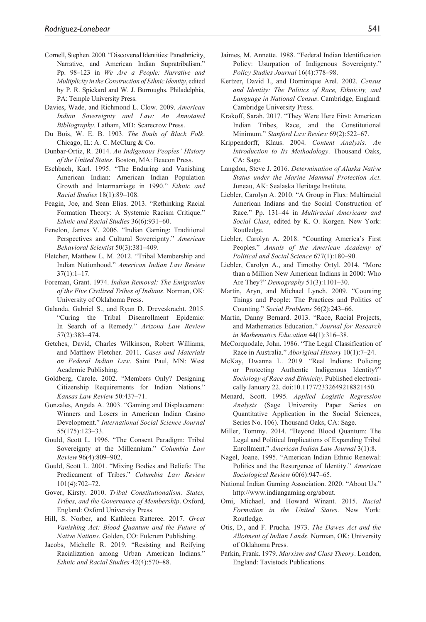- Cornell, Stephen. 2000. "Discovered Identities: Panethnicity, Narrative, and American Indian Supratribalism." Pp. 98–123 in *We Are a People: Narrative and Multiplicity in the Construction of Ethnic Identity*, edited by P. R. Spickard and W. J. Burroughs. Philadelphia, PA: Temple University Press.
- Davies, Wade, and Richmond L. Clow. 2009. *American Indian Sovereignty and Law: An Annotated Bibliography*. Latham, MD: Scarecrow Press.
- Du Bois, W. E. B. 1903. *The Souls of Black Folk*. Chicago, IL: A. C. McClurg & Co.
- Dunbar-Ortiz, R. 2014. *An Indigenous Peoples' History of the United States*. Boston, MA: Beacon Press.
- Eschbach, Karl. 1995. "The Enduring and Vanishing American Indian: American Indian Population Growth and Intermarriage in 1990." *Ethnic and Racial Studies* 18(1):89–108.
- Feagin, Joe, and Sean Elias. 2013. "Rethinking Racial Formation Theory: A Systemic Racism Critique." *Ethnic and Racial Studies* 36(6):931–60.
- Fenelon, James V. 2006. "Indian Gaming: Traditional Perspectives and Cultural Sovereignty." *American Behavioral Scientist* 50(3):381–409.
- Fletcher, Matthew L. M. 2012. "Tribal Membership and Indian Nationhood." *American Indian Law Review*  $37(1):1-17.$
- Foreman, Grant. 1974. *Indian Removal: The Emigration of the Five Civilized Tribes of Indians*. Norman, OK: University of Oklahoma Press.
- Galanda, Gabriel S., and Ryan D. Dreveskracht. 2015. "Curing the Tribal Disenrollment Epidemic: In Search of a Remedy." *Arizona Law Review* 57(2):383–474.
- Getches, David, Charles Wilkinson, Robert Williams, and Matthew Fletcher. 2011. *Cases and Materials on Federal Indian Law*. Saint Paul, MN: West Academic Publishing.
- Goldberg, Carole. 2002. "Members Only? Designing Citizenship Requirements for Indian Nations." *Kansas Law Review* 50:437–71.
- Gonzales, Angela A. 2003. "Gaming and Displacement: Winners and Losers in American Indian Casino Development." *International Social Science Journal* 55(175):123–33.
- Gould, Scott L. 1996. "The Consent Paradigm: Tribal Sovereignty at the Millennium." *Columbia Law Review* 96(4):809–902.
- Gould, Scott L. 2001. "Mixing Bodies and Beliefs: The Predicament of Tribes." *Columbia Law Review* 101(4):702–72.
- Gover, Kirsty. 2010. *Tribal Constitutionalism: States, Tribes, and the Governance of Membership*. Oxford, England: Oxford University Press.
- Hill, S. Norber, and Kathleen Ratteree. 2017. *Great Vanishing Act: Blood Quantum and the Future of Native Nations*. Golden, CO: Fulcrum Publishing.
- Jacobs, Michelle R. 2019. "Resisting and Reifying Racialization among Urban American Indians." *Ethnic and Racial Studies* 42(4):570–88.
- Jaimes, M. Annette. 1988. "Federal Indian Identification Policy: Usurpation of Indigenous Sovereignty." *Policy Studies Journal* 16(4):778–98.
- Kertzer, David I., and Dominique Arel. 2002. *Census and Identity: The Politics of Race, Ethnicity, and Language in National Census*. Cambridge, England: Cambridge University Press.
- Krakoff, Sarah. 2017. "They Were Here First: American Indian Tribes, Race, and the Constitutional Minimum." *Stanford Law Review* 69(2):522–67.
- Krippendorff, Klaus. 2004. *Content Analysis: An Introduction to Its Methodology*. Thousand Oaks, CA: Sage.
- Langdon, Steve J. 2016. *Determination of Alaska Native Status under the Marine Mammal Protection Act*. Juneau, AK: Sealaska Heritage Institute.
- Liebler, Carolyn A. 2010. "A Group in Flux: Multiracial American Indians and the Social Construction of Race." Pp. 131–44 in *Multiracial Americans and Social Class*, edited by K. O. Korgen. New York: Routledge.
- Liebler, Carolyn A. 2018. "Counting America's First Peoples." *Annals of the American Academy of Political and Social Science* 677(1):180–90.
- Liebler, Carolyn A., and Timothy Ortyl. 2014. "More than a Million New American Indians in 2000: Who Are They?" *Demography* 51(3):1101–30.
- Martin, Aryn, and Michael Lynch. 2009. "Counting Things and People: The Practices and Politics of Counting." *Social Problems* 56(2):243–66.
- Martin, Danny Bernard. 2013. "Race, Racial Projects, and Mathematics Education." *Journal for Research in Mathematics Education* 44(1):316–38.
- McCorquodale, John. 1986. "The Legal Classification of Race in Australia." *Aboriginal History* 10(1):7–24.
- McKay, Dwanna L. 2019. "Real Indians: Policing or Protecting Authentic Indigenous Identity?" *Sociology of Race and Ethnicity*. Published electronically January 22. doi:10.1177/2332649218821450.
- Menard, Scott. 1995. *Applied Logistic Regression Analysis* (Sage University Paper Series on Quantitative Application in the Social Sciences, Series No. 106). Thousand Oaks, CA: Sage.
- Miller, Tommy. 2014. "Beyond Blood Quantum: The Legal and Political Implications of Expanding Tribal Enrollment." *American Indian Law Journal* 3(1):8.
- Nagel, Joane. 1995. "American Indian Ethnic Renewal: Politics and the Resurgence of Identity." *American Sociological Review* 60(6):947–65.
- National Indian Gaming Association. 2020. "About Us." http://www.indiangaming.org/about.
- Omi, Michael, and Howard Winant. 2015. *Racial Formation in the United States*. New York: Routledge.
- Otis, D., and F. Prucha. 1973. *The Dawes Act and the Allotment of Indian Lands*. Norman, OK: University of Oklahoma Press.
- Parkin, Frank. 1979. *Marxism and Class Theory*. London, England: Tavistock Publications.